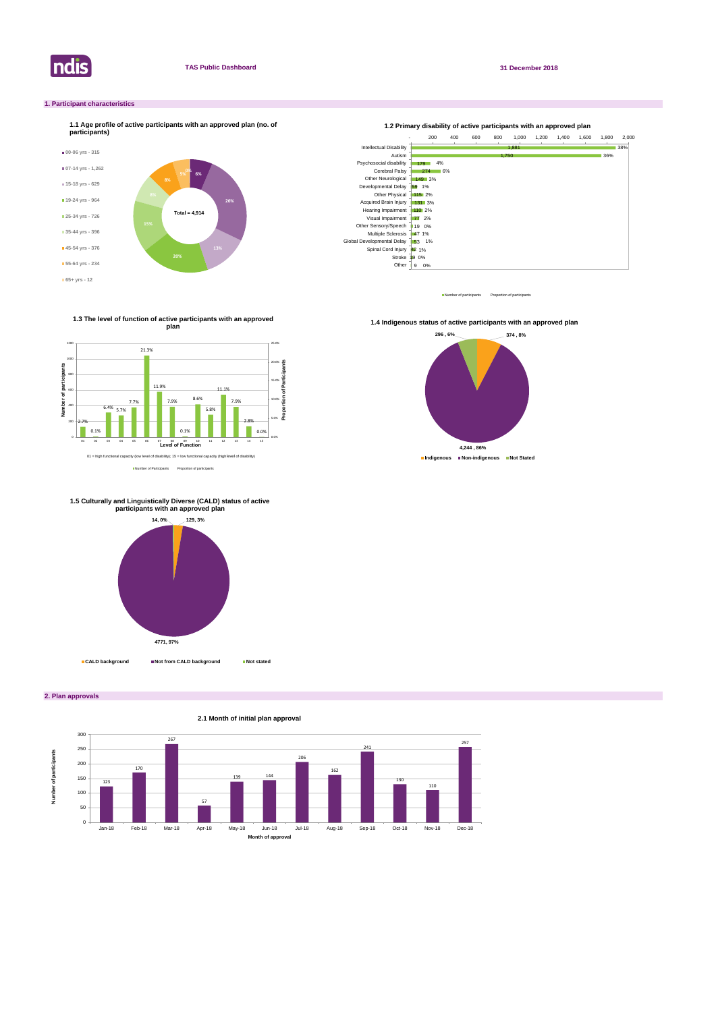

**2. Plan approvals**

# **1. Participant characteristics**



Number of participants Proportion of participant

**2.1 Month of initial plan approval**



Number of Participants Proportion of participants

**1.3 The level of function of active participants with an approved plan**



**1.4 Indigenous status of active participants with an approved plan** 





# **1.5 Culturally and Linguistically Diverse (CALD) status of active participants with an approved plan**

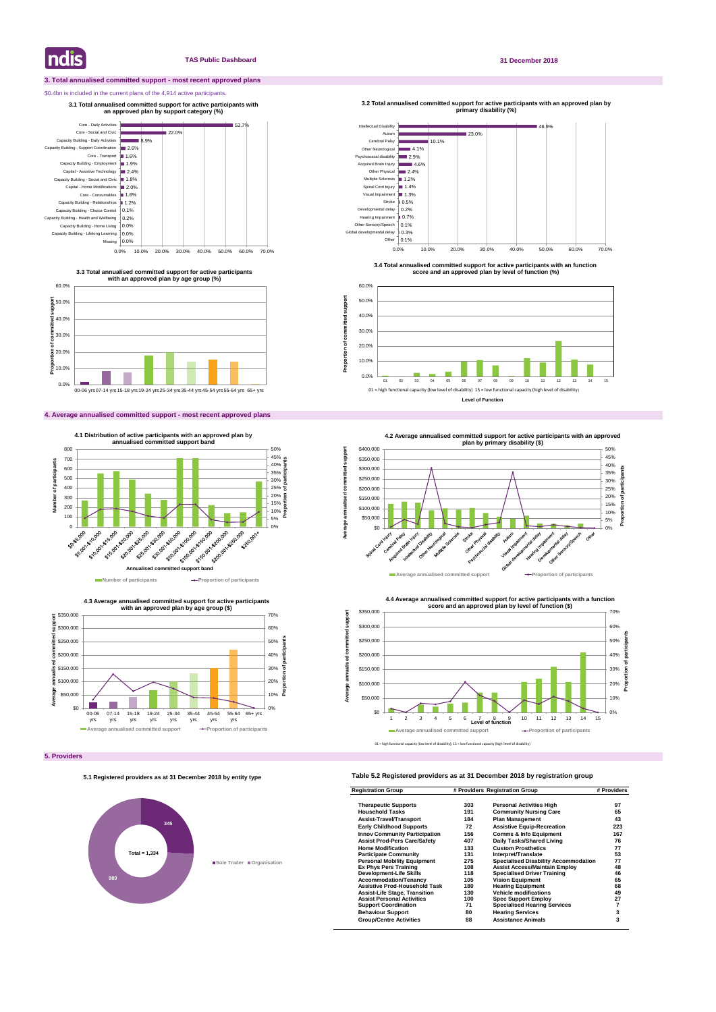# **3. Total annualised committed support - most recent approved plans**

# \$0.4bn is included in the current plans of the 4,914 active participants.

# **4. Average annualised committed support - most recent approved plans**

# **Table 5.2 Registered providers as at 31 December 2018 by registration group**

| <b>Registration Group</b>            | # Providers Registration Group |                                             | # Providers |
|--------------------------------------|--------------------------------|---------------------------------------------|-------------|
| <b>Therapeutic Supports</b>          | 303                            | <b>Personal Activities High</b>             | 97          |
| <b>Household Tasks</b>               | 191                            | <b>Community Nursing Care</b>               | 65          |
| <b>Assist-Travel/Transport</b>       | 184                            | <b>Plan Management</b>                      | 43          |
| <b>Early Childhood Supports</b>      | 72                             | <b>Assistive Equip-Recreation</b>           | 223         |
| <b>Innov Community Participation</b> | 156                            | <b>Comms &amp; Info Equipment</b>           | 167         |
| <b>Assist Prod-Pers Care/Safety</b>  | 407                            | Daily Tasks/Shared Living                   | 76          |
| <b>Home Modification</b>             | 133                            | <b>Custom Prosthetics</b>                   | 77          |
| <b>Participate Community</b>         | 131                            | Interpret/Translate                         | 53          |
| <b>Personal Mobility Equipment</b>   | 275                            | <b>Specialised Disability Accommodation</b> | 77          |
| <b>Ex Phys Pers Training</b>         | 108                            | <b>Assist Access/Maintain Employ</b>        | 48          |
| <b>Development-Life Skills</b>       | 118                            | <b>Specialised Driver Training</b>          | 46          |
| <b>Accommodation/Tenancy</b>         | 105                            | <b>Vision Equipment</b>                     | 65          |
| <b>Assistive Prod-Household Task</b> | 180                            | <b>Hearing Equipment</b>                    | 68          |
| <b>Assist-Life Stage, Transition</b> | 130                            | <b>Vehicle modifications</b>                | 49          |
| <b>Assist Personal Activities</b>    | 100                            | <b>Spec Support Employ</b>                  | 27          |
| <b>Support Coordination</b>          | 71                             | <b>Specialised Hearing Services</b>         |             |
| <b>Behaviour Support</b>             | 80                             | <b>Hearing Services</b>                     | 3           |
| <b>Group/Centre Activities</b>       | 88                             | <b>Assistance Animals</b>                   | 3           |

**Indis** 

# **TAS Public Dashboard 31 December 2018**

46.9% <sup>23.0</sup>% 10.1%  $4.1%$  $2.9%$  $= 4.6%$ Other Physical **2.4%** Multiple Sclerosis 1.2% Spinal Cord Injury 1.4% Visual Impairment 1.3% Stroke ■ 0.5% Developmental delay | 0.2% Hearing Impairment **16 0.7%** Other Sensory/Speech | 0.1% Global developmental delay | 0.3% 0.1% Other Intellectual Disability Autism Cerebral Palsy Other Neurological Psychosocial disability Acquired Brain Injury **primary disability (%)** 





**3.3 Total annualised committed support for active participants with an approved plan by age group (%)**

**3.1 Total annualised committed support for active participants with an approved plan by support category (%)** 

0.0% 10.0% 20.0% 30.0% 40.0% 50.0% 60.0% 70.0%



**4.3 Average annualised committed support for active participants** 

**3.2 Total annualised committed support for active participants with an approved plan by** 

**Proportion of committed support**

Proportion of committed

support



**3.4 Total annualised committed support for active participants with an function score and an approved plan by level of function (%)**



# **5.1 Registered providers as at 31 December 2018 by entity type**

# **345 989 Sole Trader Organisation Total = 1,334**

01 = high functional capacity (low level of disability); 15 = low functional capacity (high level of disability)







**4.4 Average annualised committed support for active participants with a function score and an approved plan by level of function (\$)** 



**Average annualised committed support**

Average annualised

ţ suoo Ī

Ę

ā

imitted support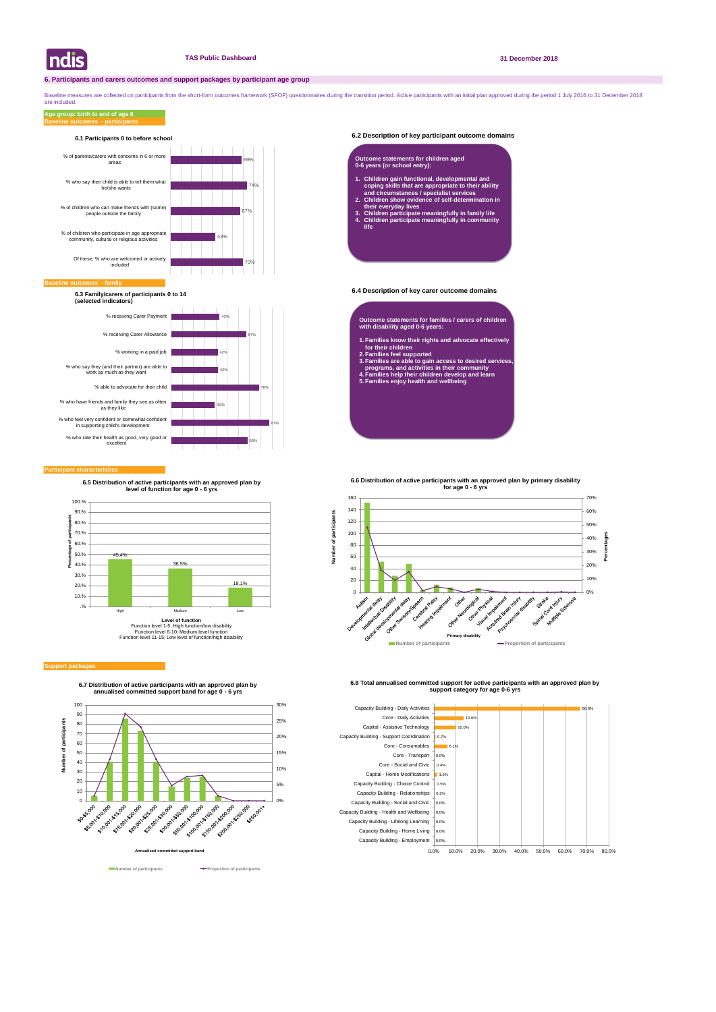# **6.2 Description of key participant outcome domains**

# **6.4 Description of key carer outcome domains**

#### **Participant characteristics**

Baseline measures are collected on participants from the short-form outcomes framework (SFOF) questionnaires during the transition period. Active participants with an initial plan approved during the period 1 July 2016 to are included.

## **Baseline outcomes - participants Age group: birth to end of age 6**



**6.7 Distribution of active participants with an approved plan by annualised committed support band for age 0 - 6 yrs**







**6.8 Total annualised committed support for active participants with an approved plan by support category for age 0-6 yrs** 



#### **Baseline of**



# **6.1 Participants 0 to before school**

**6.3 Family/carers of participants 0 to 14 (selected indicators)**

- **Outcome statements for families / carers of children with disability aged 0-6 years:**
- **1. Families know their rights and advocate effectively for their children**
- **2. Families feel supported**
- **3. Families are able to gain access to desired services, programs, and activities in their community**
- **4. Families help their children develop and learn 5. Families enjoy health and wellbeing**

### **Outcome statements for children aged 0-6 years (or school entry):**

- **1. Children gain functional, developmental and coping skills that are appropriate to their ability and circumstances / specialist services**
- **2. Children show evidence of self-determination in their everyday lives**
- **3. Children participate meaningfully in family life 4. Children participate meaningfully in community life**



#### **Support package**

**6.5 Distribution of active participants with an approved plan by level of function for age 0 - 6 yrs**



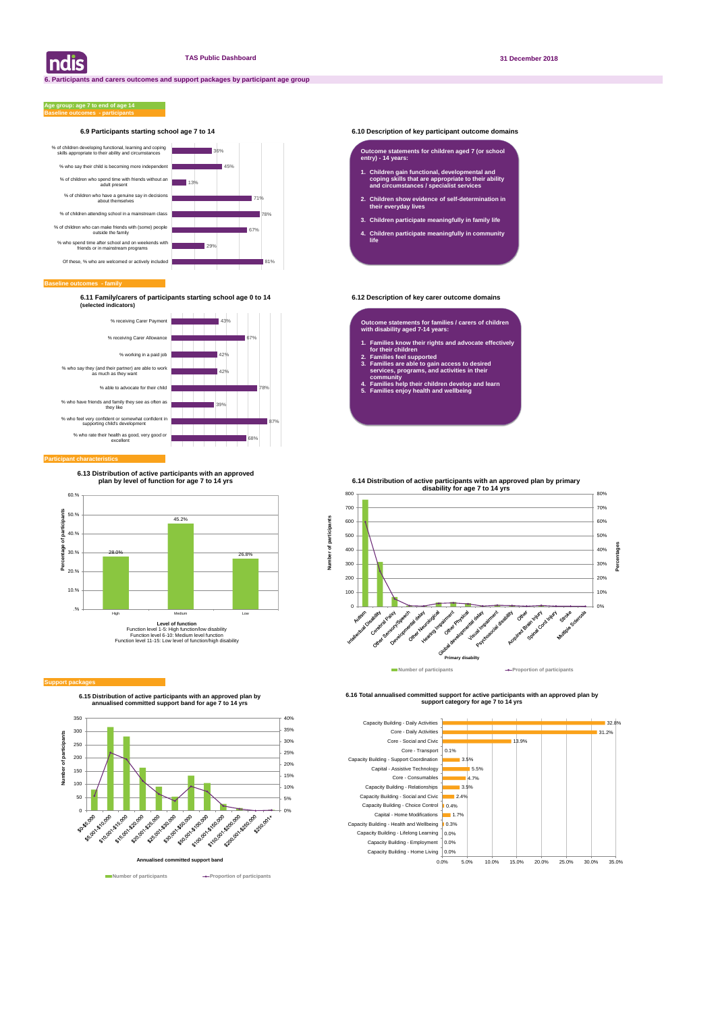# **6.9 Participants starting school age 7 to 14 6.10 Description of key participant outcome domains**

#### **Baseline outcomes - family**

### **Baseline outcomes - participants Age group: age 7 to end of age 14**

**6.11 Family/carers of participants starting school age 0 to 14 6.12 Description of key carer outcome domains (selected indicators)**

| ndis



**6.15 Distribution of active participants with an approved plan by annualised committed support band for age 7 to 14 yrs**



**Number of participants Aumber of participants** 

**6.16 Total annualised committed support for active participants with an approved plan by support category for age 7 to 14 yrs** 





### **Participant characteristic**

#### **Outcome statements for children aged 7 (or school entry) - 14 years:**

- **1. Children gain functional, developmental and coping skills that are appropriate to their ability and circumstances / specialist services**
- **2. Children show evidence of self-determination in their everyday lives**
- **3. Children participate meaningfully in family life**
- **4. Children participate meaningfully in community life**

**Outcome statements for families / carers of children with disability aged 7-14 years:**

- **1. Families know their rights and advocate effectively for their children**
- **2. Families feel supported**
- **3. Families are able to gain access to desired services, programs, and activities in their community**
- **4. Families help their children develop and learn**
- **5. Families enjoy health and wellbeing**



#### **Support packa**

**6.13 Distribution of active participants with an approved plan by level of function for age 7 to 14 yrs**

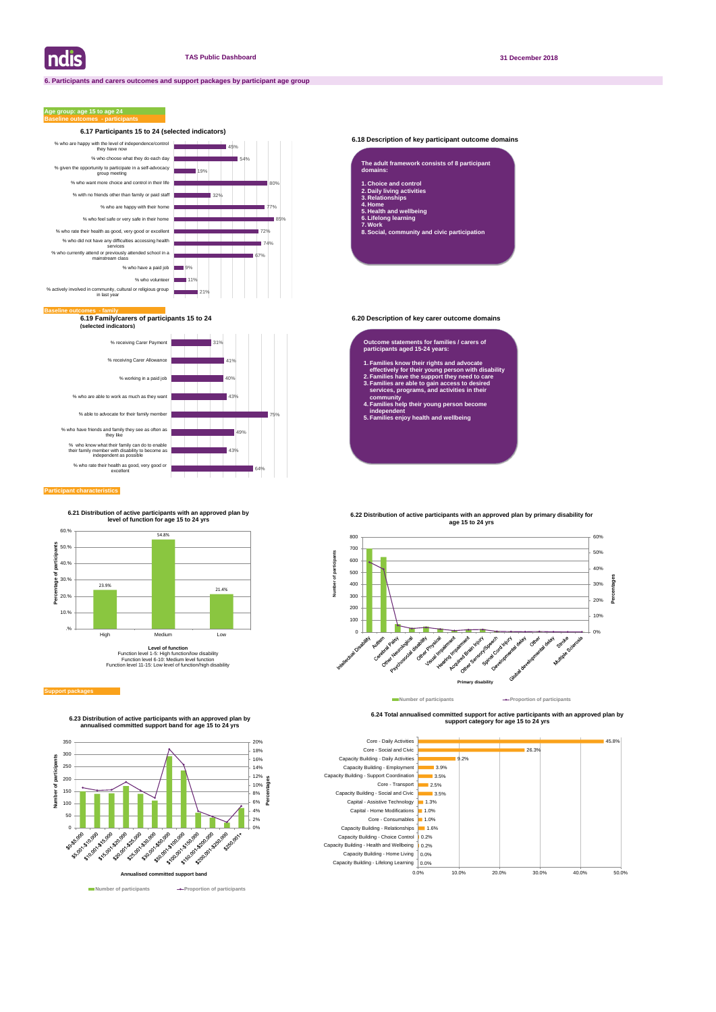# **6.18 Description of key participant outcome domains**

**6.19 Family/carers of participants 15 to 24 6.20 Description of key carer outcome domains (selected indicators)**

## **Participant characteristics**

# **Age group: age 15 to age 24**



**6.24 Total annualised committed support for active participants with an approved plan by support category for age 15 to 24 yrs** 





| The adult framework consists of 8 participant<br>domains: |
|-----------------------------------------------------------|
| 1. Choice and control                                     |
| 2. Daily living activities                                |
| 3. Relationships                                          |
| 4. Home                                                   |
| 5. Health and wellbeing                                   |
| 6. Lifelong learning                                      |
| -----                                                     |

**7. Work 8. Social, community and civic participation**

#### **Outcome statements for families / carers of participants aged 15-24 years:**

- **1. Families know their rights and advocate effectively for their young person with disability**
- **2. Families have the support they need to care 3. Families are able to gain access to desired services, programs, and activities in their**
- **community 4. Families help their young person become independent**
- **5. Families enjoy health and wellbeing**





**6.23 Distribution of active participants with an approved plan by annualised committed support band for age 15 to 24 yrs**



Function level 1-5: High function/low disability Function level 6-10: Medium level function Function level 11-15: Low level of function/high disability

#### **Support package**

**6.21 Distribution of active participants with an approved plan by level of function for age 15 to 24 yrs**



**Primary disability**

## **6.22 Distribution of active participants with an approved plan by primary disability for age 15 to 24 yrs**

**Number of participants Proportion of participants**